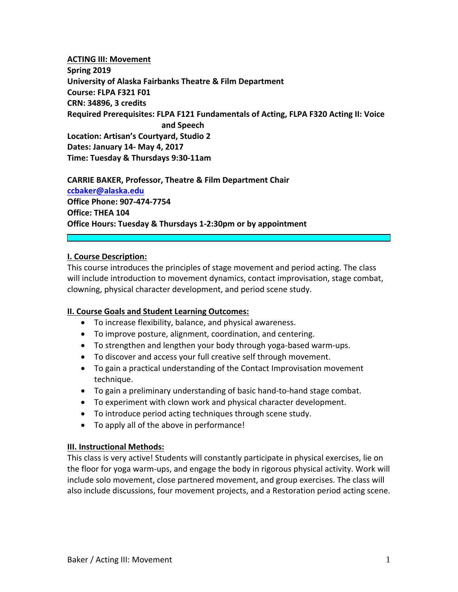# **ACTING III: Movement Spring 2019 University of Alaska Fairbanks Theatre & Film Department Course: FLPA F321 F01 CRN: 34896, 3 credits Required Prerequisites: FLPA F121 Fundamentals of Acting, FLPA F320 Acting II: Voice and Speech Location: Artisan's Courtyard, Studio 2 Dates: January 14‐ May 4, 2017 Time: Tuesday & Thursdays 9:30‐11am**

**CARRIE BAKER, Professor, Theatre & Film Department Chair ccbaker@alaska.edu Office Phone: 907‐474‐7754 Office: THEA 104 Office Hours: Tuesday & Thursdays 1‐2:30pm or by appointment**

## **I. Course Description:**

This course introduces the principles of stage movement and period acting. The class will include introduction to movement dynamics, contact improvisation, stage combat, clowning, physical character development, and period scene study.

## **II. Course Goals and Student Learning Outcomes:**

- To increase flexibility, balance, and physical awareness.
- To improve posture, alignment, coordination, and centering.
- To strengthen and lengthen your body through yoga‐based warm‐ups.
- To discover and access your full creative self through movement.
- To gain a practical understanding of the Contact Improvisation movement technique.
- To gain a preliminary understanding of basic hand‐to‐hand stage combat.
- To experiment with clown work and physical character development.
- To introduce period acting techniques through scene study.
- To apply all of the above in performance!

## **III. Instructional Methods:**

This class is very active! Students will constantly participate in physical exercises, lie on the floor for yoga warm‐ups, and engage the body in rigorous physical activity. Work will include solo movement, close partnered movement, and group exercises. The class will also include discussions, four movement projects, and a Restoration period acting scene.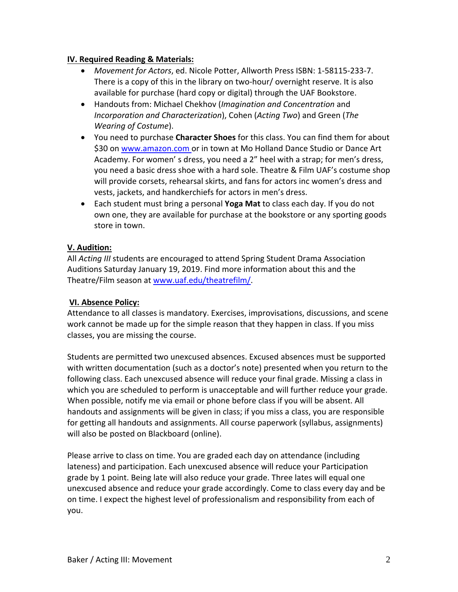## **IV. Required Reading & Materials:**

- *Movement for Actors*, ed. Nicole Potter, Allworth Press ISBN: 1‐58115‐233‐7. There is a copy of this in the library on two-hour/ overnight reserve. It is also available for purchase (hard copy or digital) through the UAF Bookstore.
- Handouts from: Michael Chekhov (*Imagination and Concentration* and *Incorporation and Characterization*), Cohen (*Acting Two*) and Green (*The Wearing of Costume*).
- You need to purchase **Character Shoes** for this class. You can find them for about \$30 on www.amazon.com or in town at Mo Holland Dance Studio or Dance Art Academy. For women' s dress, you need a 2" heel with a strap; for men's dress, you need a basic dress shoe with a hard sole. Theatre & Film UAF's costume shop will provide corsets, rehearsal skirts, and fans for actors inc women's dress and vests, jackets, and handkerchiefs for actors in men's dress.
- Each student must bring a personal **Yoga Mat** to class each day. If you do not own one, they are available for purchase at the bookstore or any sporting goods store in town.

## **V. Audition:**

All *Acting III* students are encouraged to attend Spring Student Drama Association Auditions Saturday January 19, 2019. Find more information about this and the Theatre/Film season at www.uaf.edu/theatrefilm/.

# **VI. Absence Policy:**

Attendance to all classes is mandatory. Exercises, improvisations, discussions, and scene work cannot be made up for the simple reason that they happen in class. If you miss classes, you are missing the course.

Students are permitted two unexcused absences. Excused absences must be supported with written documentation (such as a doctor's note) presented when you return to the following class. Each unexcused absence will reduce your final grade. Missing a class in which you are scheduled to perform is unacceptable and will further reduce your grade. When possible, notify me via email or phone before class if you will be absent. All handouts and assignments will be given in class; if you miss a class, you are responsible for getting all handouts and assignments. All course paperwork (syllabus, assignments) will also be posted on Blackboard (online).

Please arrive to class on time. You are graded each day on attendance (including lateness) and participation. Each unexcused absence will reduce your Participation grade by 1 point. Being late will also reduce your grade. Three lates will equal one unexcused absence and reduce your grade accordingly. Come to class every day and be on time. I expect the highest level of professionalism and responsibility from each of you.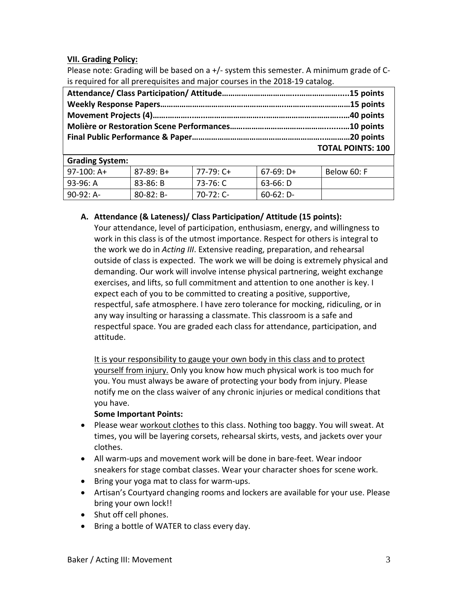# **VII. Grading Policy:**

Please note: Grading will be based on a +/‐ system this semester. A minimum grade of C‐ is required for all prerequisites and major courses in the 2018‐19 catalog.

| <b>TOTAL POINTS: 100</b> |
|--------------------------|

| <b>Grading System:</b> |                |           |             |             |  |
|------------------------|----------------|-----------|-------------|-------------|--|
| $97-100$ : A+          | $87-89: B+$    | 77-79: C+ | $67-69: D+$ | Below 60: F |  |
| 93-96: A               | 83-86: B       | 73-76: C  | 63-66: D    |             |  |
| $90-92: A-$            | $80 - 82$ : B- | 70-72: C- | $60-62: D-$ |             |  |

## **A. Attendance (& Lateness)/ Class Participation/ Attitude (15 points):**

Your attendance, level of participation, enthusiasm, energy, and willingness to work in this class is of the utmost importance. Respect for others is integral to the work we do in *Acting III*. Extensive reading, preparation, and rehearsal outside of class is expected. The work we will be doing is extremely physical and demanding. Our work will involve intense physical partnering, weight exchange exercises, and lifts, so full commitment and attention to one another is key. I expect each of you to be committed to creating a positive, supportive, respectful, safe atmosphere. I have zero tolerance for mocking, ridiculing, or in any way insulting or harassing a classmate. This classroom is a safe and respectful space. You are graded each class for attendance, participation, and attitude.

It is your responsibility to gauge your own body in this class and to protect yourself from injury. Only you know how much physical work is too much for you. You must always be aware of protecting your body from injury. Please notify me on the class waiver of any chronic injuries or medical conditions that you have.

## **Some Important Points:**

- Please wear workout clothes to this class. Nothing too baggy. You will sweat. At times, you will be layering corsets, rehearsal skirts, vests, and jackets over your clothes.
- All warm-ups and movement work will be done in bare-feet. Wear indoor sneakers for stage combat classes. Wear your character shoes for scene work.
- Bring your yoga mat to class for warm-ups.
- Artisan's Courtyard changing rooms and lockers are available for your use. Please bring your own lock!!
- Shut off cell phones.
- Bring a bottle of WATER to class every day.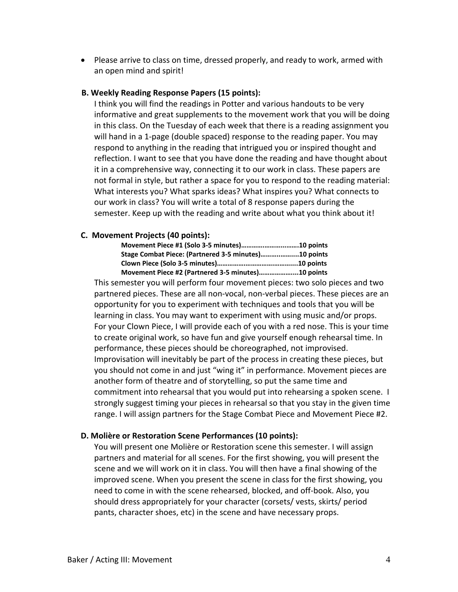• Please arrive to class on time, dressed properly, and ready to work, armed with an open mind and spirit!

#### **B. Weekly Reading Response Papers (15 points):**

I think you will find the readings in Potter and various handouts to be very informative and great supplements to the movement work that you will be doing in this class. On the Tuesday of each week that there is a reading assignment you will hand in a 1‐page (double spaced) response to the reading paper. You may respond to anything in the reading that intrigued you or inspired thought and reflection. I want to see that you have done the reading and have thought about it in a comprehensive way, connecting it to our work in class. These papers are not formal in style, but rather a space for you to respond to the reading material: What interests you? What sparks ideas? What inspires you? What connects to our work in class? You will write a total of 8 response papers during the semester. Keep up with the reading and write about what you think about it!

#### **C. Movement Projects (40 points):**

| Movement Piece #1 (Solo 3-5 minutes)10 points        |  |
|------------------------------------------------------|--|
| Stage Combat Piece: (Partnered 3-5 minutes)10 points |  |
|                                                      |  |
| Movement Piece #2 (Partnered 3-5 minutes)10 points   |  |

This semester you will perform four movement pieces: two solo pieces and two partnered pieces. These are all non‐vocal, non‐verbal pieces. These pieces are an opportunity for you to experiment with techniques and tools that you will be learning in class. You may want to experiment with using music and/or props. For your Clown Piece, I will provide each of you with a red nose. This is your time to create original work, so have fun and give yourself enough rehearsal time. In performance, these pieces should be choreographed, not improvised. Improvisation will inevitably be part of the process in creating these pieces, but you should not come in and just "wing it" in performance. Movement pieces are another form of theatre and of storytelling, so put the same time and commitment into rehearsal that you would put into rehearsing a spoken scene. I strongly suggest timing your pieces in rehearsal so that you stay in the given time range. I will assign partners for the Stage Combat Piece and Movement Piece #2.

#### **D. Molière or Restoration Scene Performances (10 points):**

You will present one Molière or Restoration scene this semester. I will assign partners and material for all scenes. For the first showing, you will present the scene and we will work on it in class. You will then have a final showing of the improved scene. When you present the scene in class for the first showing, you need to come in with the scene rehearsed, blocked, and off‐book. Also, you should dress appropriately for your character (corsets/ vests, skirts/ period pants, character shoes, etc) in the scene and have necessary props.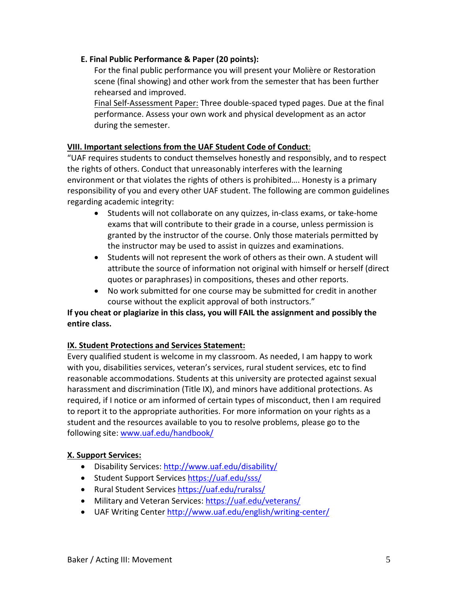# **E. Final Public Performance & Paper (20 points):**

For the final public performance you will present your Molière or Restoration scene (final showing) and other work from the semester that has been further rehearsed and improved.

Final Self‐Assessment Paper: Three double‐spaced typed pages. Due at the final performance. Assess your own work and physical development as an actor during the semester.

# **VIII. Important selections from the UAF Student Code of Conduct**:

"UAF requires students to conduct themselves honestly and responsibly, and to respect the rights of others. Conduct that unreasonably interferes with the learning environment or that violates the rights of others is prohibited…. Honesty is a primary responsibility of you and every other UAF student. The following are common guidelines regarding academic integrity:

- Students will not collaborate on any quizzes, in-class exams, or take-home exams that will contribute to their grade in a course, unless permission is granted by the instructor of the course. Only those materials permitted by the instructor may be used to assist in quizzes and examinations.
- Students will not represent the work of others as their own. A student will attribute the source of information not original with himself or herself (direct quotes or paraphrases) in compositions, theses and other reports.
- No work submitted for one course may be submitted for credit in another course without the explicit approval of both instructors."

# **If you cheat or plagiarize in this class, you will FAIL the assignment and possibly the entire class.**

# **IX. Student Protections and Services Statement:**

Every qualified student is welcome in my classroom. As needed, I am happy to work with you, disabilities services, veteran's services, rural student services, etc to find reasonable accommodations. Students at this university are protected against sexual harassment and discrimination (Title IX), and minors have additional protections. As required, if I notice or am informed of certain types of misconduct, then I am required to report it to the appropriate authorities. For more information on your rights as a student and the resources available to you to resolve problems, please go to the following site: www.uaf.edu/handbook/

# **X. Support Services:**

- Disability Services: http://www.uaf.edu/disability/
- Student Support Services https://uaf.edu/sss/
- Rural Student Services https://uaf.edu/ruralss/
- Military and Veteran Services: https://uaf.edu/veterans/
- UAF Writing Center http://www.uaf.edu/english/writing‐center/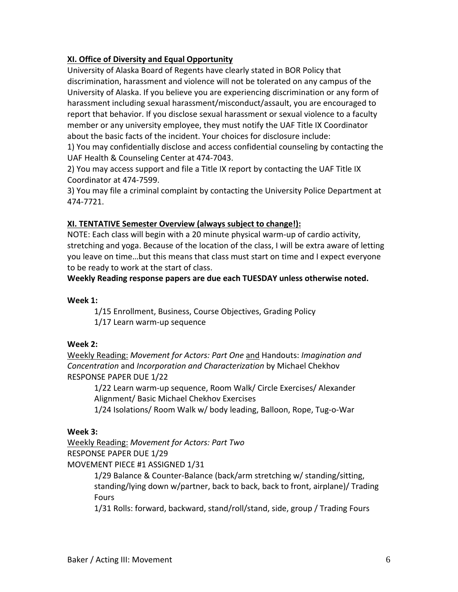# **XI. Office of Diversity and Equal Opportunity**

University of Alaska Board of Regents have clearly stated in BOR Policy that discrimination, harassment and violence will not be tolerated on any campus of the University of Alaska. If you believe you are experiencing discrimination or any form of harassment including sexual harassment/misconduct/assault, you are encouraged to report that behavior. If you disclose sexual harassment or sexual violence to a faculty member or any university employee, they must notify the UAF Title IX Coordinator about the basic facts of the incident. Your choices for disclosure include:

1) You may confidentially disclose and access confidential counseling by contacting the UAF Health & Counseling Center at 474‐7043.

2) You may access support and file a Title IX report by contacting the UAF Title IX Coordinator at 474‐7599.

3) You may file a criminal complaint by contacting the University Police Department at 474‐7721.

# **XI. TENTATIVE Semester Overview (always subject to change!):**

NOTE: Each class will begin with a 20 minute physical warm‐up of cardio activity, stretching and yoga. Because of the location of the class, I will be extra aware of letting you leave on time…but this means that class must start on time and I expect everyone to be ready to work at the start of class.

**Weekly Reading response papers are due each TUESDAY unless otherwise noted.**

## **Week 1:**

1/15 Enrollment, Business, Course Objectives, Grading Policy 1/17 Learn warm‐up sequence

# **Week 2:**

Weekly Reading: *Movement for Actors: Part One* and Handouts: *Imagination and Concentration* and *Incorporation and Characterization* by Michael Chekhov RESPONSE PAPER DUE 1/22

1/22 Learn warm‐up sequence, Room Walk/ Circle Exercises/ Alexander Alignment/ Basic Michael Chekhov Exercises

1/24 Isolations/ Room Walk w/ body leading, Balloon, Rope, Tug‐o‐War

# **Week 3:**

Weekly Reading: *Movement for Actors: Part Two* RESPONSE PAPER DUE 1/29

MOVEMENT PIECE #1 ASSIGNED 1/31

1/29 Balance & Counter‐Balance (back/arm stretching w/ standing/sitting, standing/lying down w/partner, back to back, back to front, airplane)/ Trading **Fours** 

1/31 Rolls: forward, backward, stand/roll/stand, side, group / Trading Fours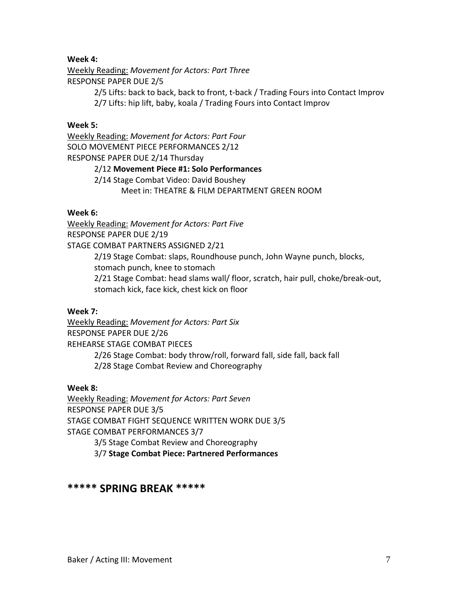## **Week 4:**

Weekly Reading: *Movement for Actors: Part Three* RESPONSE PAPER DUE 2/5

> 2/5 Lifts: back to back, back to front, t‐back / Trading Fours into Contact Improv 2/7 Lifts: hip lift, baby, koala / Trading Fours into Contact Improv

### **Week 5:**

Weekly Reading: *Movement for Actors: Part Four* SOLO MOVEMENT PIECE PERFORMANCES 2/12 RESPONSE PAPER DUE 2/14 Thursday 2/12 **Movement Piece #1: Solo Performances** 2/14 Stage Combat Video: David Boushey

Meet in: THEATRE & FILM DEPARTMENT GREEN ROOM

### **Week 6:**

Weekly Reading: *Movement for Actors: Part Five* RESPONSE PAPER DUE 2/19 STAGE COMBAT PARTNERS ASSIGNED 2/21 2/19 Stage Combat: slaps, Roundhouse punch, John Wayne punch, blocks, stomach punch, knee to stomach 2/21 Stage Combat: head slams wall/ floor, scratch, hair pull, choke/break‐out, stomach kick, face kick, chest kick on floor

#### **Week 7:**

Weekly Reading: *Movement for Actors: Part Six* RESPONSE PAPER DUE 2/26 REHEARSE STAGE COMBAT PIECES 2/26 Stage Combat: body throw/roll, forward fall, side fall, back fall

2/28 Stage Combat Review and Choreography

## **Week 8:**

Weekly Reading: *Movement for Actors: Part Seven* RESPONSE PAPER DUE 3/5 STAGE COMBAT FIGHT SEQUENCE WRITTEN WORK DUE 3/5 STAGE COMBAT PERFORMANCES 3/7 3/5 Stage Combat Review and Choreography

3/7 **Stage Combat Piece: Partnered Performances**

# **\*\*\*\*\* SPRING BREAK \*\*\*\*\***